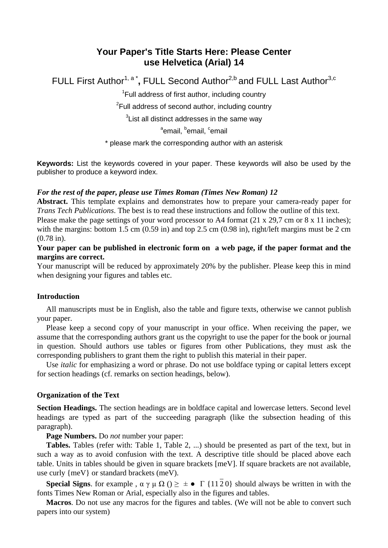# **Your Paper's Title Starts Here: Please Center use Helvetica (Arial) 14**

FULL First Author<sup>1, a\*</sup>, FULL Second Author<sup>2,b</sup> and FULL Last Author<sup>3,c</sup>

<sup>1</sup>Full address of first author, including country

<sup>2</sup>Full address of second author, including country

 ${}^{3}$ List all distinct addresses in the same way

<sup>a</sup>email, <sup>b</sup>email, <sup>c</sup>email

\* please mark the corresponding author with an asterisk

**Keywords:** List the keywords covered in your paper. These keywords will also be used by the publisher to produce a keyword index.

### *For the rest of the paper, please use Times Roman (Times New Roman) 12*

**Abstract.** This template explains and demonstrates how to prepare your camera-ready paper for *Trans Tech Publications*. The best is to read these instructions and follow the outline of this text.

Please make the page settings of your word processor to A4 format (21 x 29,7 cm or 8 x 11 inches); with the margins: bottom 1.5 cm (0.59 in) and top 2.5 cm (0.98 in), right/left margins must be 2 cm (0.78 in).

# **Your paper can be published in electronic form on a web page, if the paper format and the margins are correct.**

Your manuscript will be reduced by approximately 20% by the publisher. Please keep this in mind when designing your figures and tables etc.

#### **Introduction**

All manuscripts must be in English, also the table and figure texts, otherwise we cannot publish your paper.

Please keep a second copy of your manuscript in your office. When receiving the paper, we assume that the corresponding authors grant us the copyright to use the paper for the book or journal in question. Should authors use tables or figures from other Publications, they must ask the corresponding publishers to grant them the right to publish this material in their paper.

Use *italic* for emphasizing a word or phrase. Do not use boldface typing or capital letters except for section headings (cf. remarks on section headings, below).

## **Organization of the Text**

**Section Headings.** The section headings are in boldface capital and lowercase letters. Second level headings are typed as part of the succeeding paragraph (like the subsection heading of this paragraph).

**Page Numbers.** Do *not* number your paper:

**Tables.** Tables (refer with: Table 1, Table 2, ...) should be presented as part of the text, but in such a way as to avoid confusion with the text. A descriptive title should be placed above each table. Units in tables should be given in square brackets [meV]. If square brackets are not available, use curly {meV} or standard brackets (meV).

**Special Signs**. for example,  $\alpha \gamma \mu \Omega$  ()  $\geq \pm \bullet \Gamma$  {1120} should always be written in with the fonts Times New Roman or Arial, especially also in the figures and tables.

**Macros**. Do not use any macros for the figures and tables. (We will not be able to convert such papers into our system)